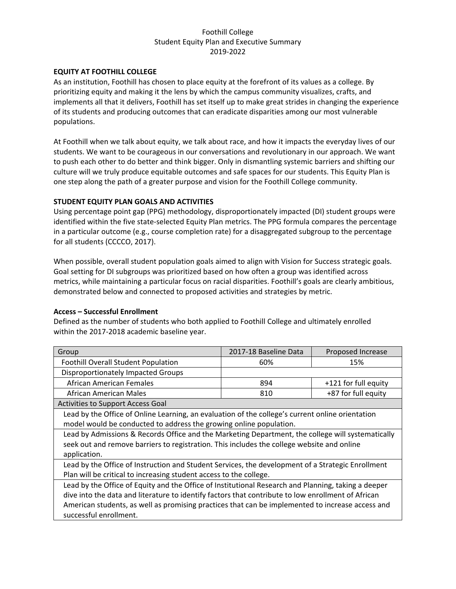## **EQUITY AT FOOTHILL COLLEGE**

As an institution, Foothill has chosen to place equity at the forefront of its values as a college. By prioritizing equity and making it the lens by which the campus community visualizes, crafts, and implements all that it delivers, Foothill has set itself up to make great strides in changing the experience of its students and producing outcomes that can eradicate disparities among our most vulnerable populations.

At Foothill when we talk about equity, we talk about race, and how it impacts the everyday lives of our students. We want to be courageous in our conversations and revolutionary in our approach. We want to push each other to do better and think bigger. Only in dismantling systemic barriers and shifting our culture will we truly produce equitable outcomes and safe spaces for our students. This Equity Plan is one step along the path of a greater purpose and vision for the Foothill College community.

### **STUDENT EQUITY PLAN GOALS AND ACTIVITIES**

Using percentage point gap (PPG) methodology, disproportionately impacted (DI) student groups were identified within the five state-selected Equity Plan metrics. The PPG formula compares the percentage in a particular outcome (e.g., course completion rate) for a disaggregated subgroup to the percentage for all students (CCCCO, 2017).

When possible, overall student population goals aimed to align with Vision for Success strategic goals. Goal setting for DI subgroups was prioritized based on how often a group was identified across metrics, while maintaining a particular focus on racial disparities. Foothill's goals are clearly ambitious, demonstrated below and connected to proposed activities and strategies by metric.

## **Access – Successful Enrollment**

Defined as the number of students who both applied to Foothill College and ultimately enrolled within the 2017-2018 academic baseline year.

| Group                                                                                               | 2017-18 Baseline Data                                                                             | Proposed Increase    |  |
|-----------------------------------------------------------------------------------------------------|---------------------------------------------------------------------------------------------------|----------------------|--|
| <b>Foothill Overall Student Population</b>                                                          | 60%                                                                                               | 15%                  |  |
| <b>Disproportionately Impacted Groups</b>                                                           |                                                                                                   |                      |  |
| African American Females                                                                            | 894                                                                                               | +121 for full equity |  |
| African American Males                                                                              | 810                                                                                               | +87 for full equity  |  |
| <b>Activities to Support Access Goal</b>                                                            |                                                                                                   |                      |  |
| Lead by the Office of Online Learning, an evaluation of the college's current online orientation    |                                                                                                   |                      |  |
| model would be conducted to address the growing online population.                                  |                                                                                                   |                      |  |
| Lead by Admissions & Records Office and the Marketing Department, the college will systematically   |                                                                                                   |                      |  |
| seek out and remove barriers to registration. This includes the college website and online          |                                                                                                   |                      |  |
| application.                                                                                        |                                                                                                   |                      |  |
|                                                                                                     | Lead by the Office of Instruction and Student Services, the development of a Strategic Enrollment |                      |  |
| Plan will be critical to increasing student access to the college.                                  |                                                                                                   |                      |  |
| Lead by the Office of Equity and the Office of Institutional Research and Planning, taking a deeper |                                                                                                   |                      |  |
| dive into the data and literature to identify factors that contribute to low enrollment of African  |                                                                                                   |                      |  |
| American students, as well as promising practices that can be implemented to increase access and    |                                                                                                   |                      |  |
| successful enrollment.                                                                              |                                                                                                   |                      |  |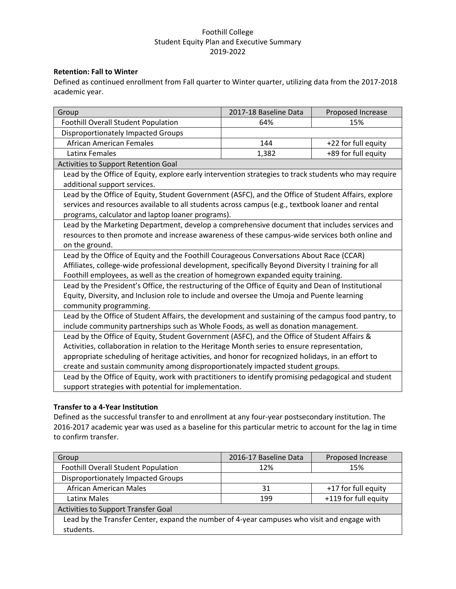## **Retention: Fall to Winter**

Defined as continued enrollment from Fall quarter to Winter quarter, utilizing data from the 2017-2018 academic year.

| Group                                                                                                 | 2017-18 Baseline Data                                 | Proposed Increase   |  |
|-------------------------------------------------------------------------------------------------------|-------------------------------------------------------|---------------------|--|
| <b>Foothill Overall Student Population</b>                                                            | 64%                                                   | 15%                 |  |
| Disproportionately Impacted Groups                                                                    |                                                       |                     |  |
| African American Females                                                                              | 144                                                   | +22 for full equity |  |
| Latinx Females                                                                                        | 1,382                                                 | +89 for full equity |  |
| Activities to Support Retention Goal                                                                  |                                                       |                     |  |
| Lead by the Office of Equity, explore early intervention strategies to track students who may require |                                                       |                     |  |
| additional support services.                                                                          |                                                       |                     |  |
| Lead by the Office of Equity, Student Government (ASFC), and the Office of Student Affairs, explore   |                                                       |                     |  |
| services and resources available to all students across campus (e.g., textbook loaner and rental      |                                                       |                     |  |
| programs, calculator and laptop loaner programs).                                                     |                                                       |                     |  |
| Lead by the Marketing Department, develop a comprehensive document that includes services and         |                                                       |                     |  |
| resources to then promote and increase awareness of these campus-wide services both online and        |                                                       |                     |  |
| on the ground.                                                                                        |                                                       |                     |  |
| Lead by the Office of Equity and the Foothill Courageous Conversations About Race (CCAR)              |                                                       |                     |  |
| Affiliates, college-wide professional development, specifically Beyond Diversity I training for all   |                                                       |                     |  |
| Foothill employees, as well as the creation of homegrown expanded equity training.                    |                                                       |                     |  |
| Lead by the President's Office, the restructuring of the Office of Equity and Dean of Institutional   |                                                       |                     |  |
| Equity, Diversity, and Inclusion role to include and oversee the Umoja and Puente learning            |                                                       |                     |  |
| community programming.                                                                                |                                                       |                     |  |
| Lead by the Office of Student Affairs, the development and sustaining of the campus food pantry, to   |                                                       |                     |  |
| include community partnerships such as Whole Foods, as well as donation management.                   |                                                       |                     |  |
| Lead by the Office of Equity, Student Government (ASFC), and the Office of Student Affairs &          |                                                       |                     |  |
| Activities, collaboration in relation to the Heritage Month series to ensure representation,          |                                                       |                     |  |
| appropriate scheduling of heritage activities, and honor for recognized holidays, in an effort to     |                                                       |                     |  |
| create and sustain community among disproportionately impacted student groups.                        |                                                       |                     |  |
| Lead by the Office of Equity, work with practitioners to identify promising pedagogical and student   |                                                       |                     |  |
|                                                                                                       | support strategies with potential for implementation. |                     |  |

### **Transfer to a 4-Year Institution**

Defined as the successful transfer to and enrollment at any four-year postsecondary institution. The 2016-2017 academic year was used as a baseline for this particular metric to account for the lag in time to confirm transfer.

| Group                                                                                       | 2016-17 Baseline Data | Proposed Increase    |  |
|---------------------------------------------------------------------------------------------|-----------------------|----------------------|--|
| Foothill Overall Student Population                                                         | 12%                   | 15%                  |  |
| <b>Disproportionately Impacted Groups</b>                                                   |                       |                      |  |
| <b>African American Males</b>                                                               | 31                    | +17 for full equity  |  |
| Latinx Males                                                                                | 199                   | +119 for full equity |  |
| Activities to Support Transfer Goal                                                         |                       |                      |  |
| Lead by the Transfer Center, expand the number of 4-year campuses who visit and engage with |                       |                      |  |
| students.                                                                                   |                       |                      |  |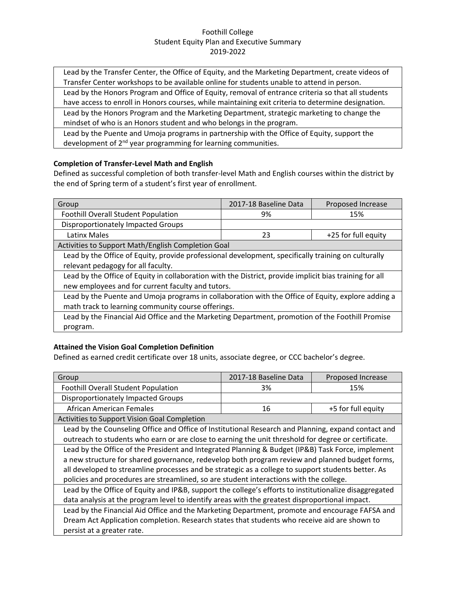Lead by the Transfer Center, the Office of Equity, and the Marketing Department, create videos of Transfer Center workshops to be available online for students unable to attend in person.

Lead by the Honors Program and Office of Equity, removal of entrance criteria so that all students have access to enroll in Honors courses, while maintaining exit criteria to determine designation.

Lead by the Honors Program and the Marketing Department, strategic marketing to change the mindset of who is an Honors student and who belongs in the program.

Lead by the Puente and Umoja programs in partnership with the Office of Equity, support the development of 2<sup>nd</sup> year programming for learning communities.

# **Completion of Transfer-Level Math and English**

Defined as successful completion of both transfer-level Math and English courses within the district by the end of Spring term of a student's first year of enrollment.

| Group                                                                                                   | 2017-18 Baseline Data                              | Proposed Increase   |  |  |
|---------------------------------------------------------------------------------------------------------|----------------------------------------------------|---------------------|--|--|
| <b>Foothill Overall Student Population</b>                                                              | 9%                                                 | 15%                 |  |  |
| Disproportionately Impacted Groups                                                                      |                                                    |                     |  |  |
| Latinx Males                                                                                            | 23                                                 | +25 for full equity |  |  |
|                                                                                                         | Activities to Support Math/English Completion Goal |                     |  |  |
| Lead by the Office of Equity, provide professional development, specifically training on culturally     |                                                    |                     |  |  |
| relevant pedagogy for all faculty.                                                                      |                                                    |                     |  |  |
| Lead by the Office of Equity in collaboration with the District, provide implicit bias training for all |                                                    |                     |  |  |
| new employees and for current faculty and tutors.                                                       |                                                    |                     |  |  |
| Lead by the Puente and Umoja programs in collaboration with the Office of Equity, explore adding a      |                                                    |                     |  |  |
| math track to learning community course offerings.                                                      |                                                    |                     |  |  |
| Lead by the Financial Aid Office and the Marketing Department, promotion of the Foothill Promise        |                                                    |                     |  |  |
| program.                                                                                                |                                                    |                     |  |  |

# **Attained the Vision Goal Completion Definition**

Defined as earned credit certificate over 18 units, associate degree, or CCC bachelor's degree.

| Group                                                                                                  | 2017-18 Baseline Data | Proposed Increase  |
|--------------------------------------------------------------------------------------------------------|-----------------------|--------------------|
| <b>Foothill Overall Student Population</b>                                                             | 3%                    | 15%                |
| Disproportionately Impacted Groups                                                                     |                       |                    |
| <b>African American Females</b>                                                                        | 16                    | +5 for full equity |
| Activities to Support Vision Goal Completion                                                           |                       |                    |
| Lead by the Counseling Office and Office of Institutional Research and Planning, expand contact and    |                       |                    |
| outreach to students who earn or are close to earning the unit threshold for degree or certificate.    |                       |                    |
| Lead by the Office of the President and Integrated Planning & Budget (IP&B) Task Force, implement      |                       |                    |
| a new structure for shared governance, redevelop both program review and planned budget forms,         |                       |                    |
| all developed to streamline processes and be strategic as a college to support students better. As     |                       |                    |
| policies and procedures are streamlined, so are student interactions with the college.                 |                       |                    |
| Lead by the Office of Equity and IP&B, support the college's efforts to institutionalize disaggregated |                       |                    |
| data analysis at the program level to identify areas with the greatest disproportional impact.         |                       |                    |
| Lead by the Financial Aid Office and the Marketing Department, promote and encourage FAFSA and         |                       |                    |
| Dream Act Application completion. Research states that students who receive aid are shown to           |                       |                    |
| persist at a greater rate.                                                                             |                       |                    |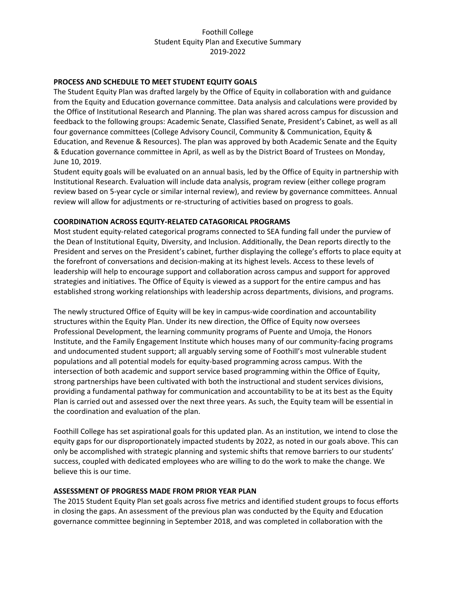## **PROCESS AND SCHEDULE TO MEET STUDENT EQUITY GOALS**

The Student Equity Plan was drafted largely by the Office of Equity in collaboration with and guidance from the Equity and Education governance committee. Data analysis and calculations were provided by the Office of Institutional Research and Planning. The plan was shared across campus for discussion and feedback to the following groups: Academic Senate, Classified Senate, President's Cabinet, as well as all four governance committees (College Advisory Council, Community & Communication, Equity & Education, and Revenue & Resources). The plan was approved by both Academic Senate and the Equity & Education governance committee in April, as well as by the District Board of Trustees on Monday, June 10, 2019.

Student equity goals will be evaluated on an annual basis, led by the Office of Equity in partnership with Institutional Research. Evaluation will include data analysis, program review (either college program review based on 5-year cycle or similar internal review), and review by governance committees. Annual review will allow for adjustments or re-structuring of activities based on progress to goals.

### **COORDINATION ACROSS EQUITY-RELATED CATAGORICAL PROGRAMS**

Most student equity-related categorical programs connected to SEA funding fall under the purview of the Dean of Institutional Equity, Diversity, and Inclusion. Additionally, the Dean reports directly to the President and serves on the President's cabinet, further displaying the college's efforts to place equity at the forefront of conversations and decision-making at its highest levels. Access to these levels of leadership will help to encourage support and collaboration across campus and support for approved strategies and initiatives. The Office of Equity is viewed as a support for the entire campus and has established strong working relationships with leadership across departments, divisions, and programs.

The newly structured Office of Equity will be key in campus-wide coordination and accountability structures within the Equity Plan. Under its new direction, the Office of Equity now oversees Professional Development, the learning community programs of Puente and Umoja, the Honors Institute, and the Family Engagement Institute which houses many of our community-facing programs and undocumented student support; all arguably serving some of Foothill's most vulnerable student populations and all potential models for equity-based programming across campus. With the intersection of both academic and support service based programming within the Office of Equity, strong partnerships have been cultivated with both the instructional and student services divisions, providing a fundamental pathway for communication and accountability to be at its best as the Equity Plan is carried out and assessed over the next three years. As such, the Equity team will be essential in the coordination and evaluation of the plan.

Foothill College has set aspirational goals for this updated plan. As an institution, we intend to close the equity gaps for our disproportionately impacted students by 2022, as noted in our goals above. This can only be accomplished with strategic planning and systemic shifts that remove barriers to our students' success, coupled with dedicated employees who are willing to do the work to make the change. We believe this is our time.

#### **ASSESSMENT OF PROGRESS MADE FROM PRIOR YEAR PLAN**

The 2015 Student Equity Plan set goals across five metrics and identified student groups to focus efforts in closing the gaps. An assessment of the previous plan was conducted by the Equity and Education governance committee beginning in September 2018, and was completed in collaboration with the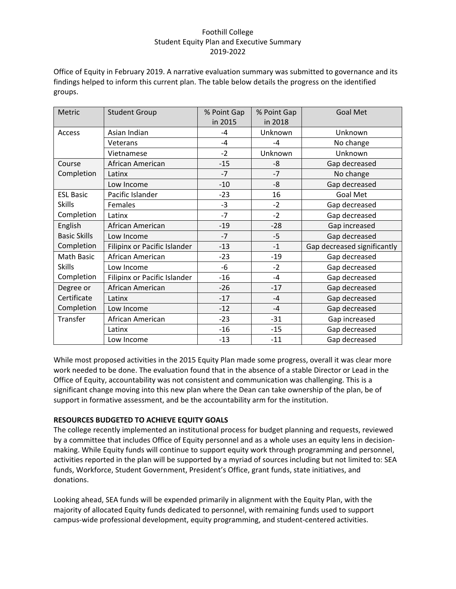Office of Equity in February 2019. A narrative evaluation summary was submitted to governance and its findings helped to inform this current plan. The table below details the progress on the identified groups.

| Metric              | <b>Student Group</b>         | % Point Gap | % Point Gap | <b>Goal Met</b>             |
|---------------------|------------------------------|-------------|-------------|-----------------------------|
|                     |                              | in 2015     | in 2018     |                             |
| Access              | Asian Indian                 | -4          | Unknown     | Unknown                     |
|                     | Veterans                     | $-4$        | $-4$        | No change                   |
|                     | Vietnamese                   | $-2$        | Unknown     | Unknown                     |
| Course              | African American             | $-15$       | -8          | Gap decreased               |
| Completion          | Latinx                       | $-7$        | $-7$        | No change                   |
|                     | Low Income                   | $-10$       | -8          | Gap decreased               |
| <b>ESL Basic</b>    | Pacific Islander             | $-23$       | 16          | <b>Goal Met</b>             |
| <b>Skills</b>       | <b>Females</b>               | $-3$        | $-2$        | Gap decreased               |
| Completion          | Latinx                       | $-7$        | $-2$        | Gap decreased               |
| English             | African American             | $-19$       | $-28$       | Gap increased               |
| <b>Basic Skills</b> | Low Income                   | $-7$        | $-5$        | Gap decreased               |
| Completion          | Filipinx or Pacific Islander | $-13$       | $-1$        | Gap decreased significantly |
| Math Basic          | African American             | $-23$       | $-19$       | Gap decreased               |
| <b>Skills</b>       | Low Income                   | $-6$        | $-2$        | Gap decreased               |
| Completion          | Filipinx or Pacific Islander | $-16$       | $-4$        | Gap decreased               |
| Degree or           | African American             | $-26$       | $-17$       | Gap decreased               |
| Certificate         | Latinx                       | $-17$       | $-4$        | Gap decreased               |
| Completion          | Low Income                   | $-12$       | $-4$        | Gap decreased               |
| Transfer            | African American             | $-23$       | $-31$       | Gap increased               |
|                     | Latinx                       | $-16$       | $-15$       | Gap decreased               |
|                     | Low Income                   | $-13$       | $-11$       | Gap decreased               |

While most proposed activities in the 2015 Equity Plan made some progress, overall it was clear more work needed to be done. The evaluation found that in the absence of a stable Director or Lead in the Office of Equity, accountability was not consistent and communication was challenging. This is a significant change moving into this new plan where the Dean can take ownership of the plan, be of support in formative assessment, and be the accountability arm for the institution.

## **RESOURCES BUDGETED TO ACHIEVE EQUITY GOALS**

The college recently implemented an institutional process for budget planning and requests, reviewed by a committee that includes Office of Equity personnel and as a whole uses an equity lens in decisionmaking. While Equity funds will continue to support equity work through programming and personnel, activities reported in the plan will be supported by a myriad of sources including but not limited to: SEA funds, Workforce, Student Government, President's Office, grant funds, state initiatives, and donations.

Looking ahead, SEA funds will be expended primarily in alignment with the Equity Plan, with the majority of allocated Equity funds dedicated to personnel, with remaining funds used to support campus-wide professional development, equity programming, and student-centered activities.